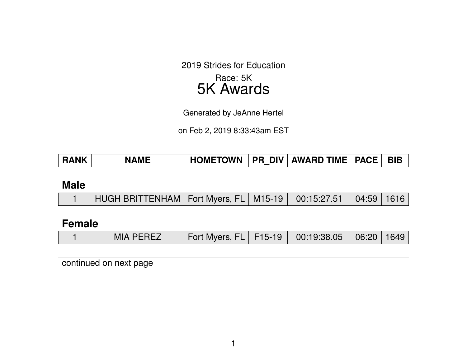2019 Strides for Education

## Race: 5K 5K Awards

Generated by JeAnne Hertel

on Feb 2, 2019 8:33:43am EST

| <b>HOMETOWN</b><br>∣ RANK<br><b>NAME</b> | <b>PR DIV AWARD TIME   PACE  </b> |
|------------------------------------------|-----------------------------------|
|------------------------------------------|-----------------------------------|

#### **Male**

|  | HUGH BRITTENHAM   Fort Myers, FL   M15-19   00:15:27.51   04:59   1616 |  |  |  |  |  |
|--|------------------------------------------------------------------------|--|--|--|--|--|
|--|------------------------------------------------------------------------|--|--|--|--|--|

## **Female**

|  |  | <b>MIA PEREZ</b> | Fort Myers, FL   F15-19   00:19:38.05   06:20   1649 |  |  |  |  |
|--|--|------------------|------------------------------------------------------|--|--|--|--|
|--|--|------------------|------------------------------------------------------|--|--|--|--|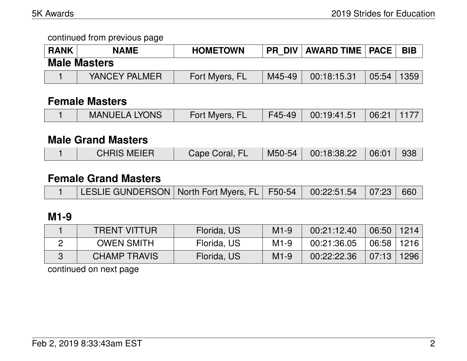continued from previous page

| <b>RANK</b> | <b>NAME</b>         | <b>HOMETOWN</b> | <b>PR DIV</b> | <b>AWARD TIME   PACE</b> |       | <b>BIB</b> |
|-------------|---------------------|-----------------|---------------|--------------------------|-------|------------|
|             | <b>Male Masters</b> |                 |               |                          |       |            |
|             | YANCEY PALMER       | Fort Myers, FL  | M45-49        | 00:18:15.31              | 05:54 | 1359       |

### **Female Masters**

| <b>MANUELA LYONS</b> | Fort Myers, FL | / F45-49   00:19:41.51   06:21   1177 |  |
|----------------------|----------------|---------------------------------------|--|
|                      |                |                                       |  |

#### **Male Grand Masters**

|  | <b>CHRIS MEIER</b> | Cape Coral, FL | $M50-54$ | $\vert$ 00:18:38.22 $\vert$ 06:01 $\vert$ |  | - 938 |
|--|--------------------|----------------|----------|-------------------------------------------|--|-------|
|--|--------------------|----------------|----------|-------------------------------------------|--|-------|

#### **Female Grand Masters**

|  | ALESLIE GUNDERSON   North Fort Myers, FL   F50-54   00:22:51.54   07:23   660 |  |  |  |  |  |
|--|-------------------------------------------------------------------------------|--|--|--|--|--|
|--|-------------------------------------------------------------------------------|--|--|--|--|--|

# **M1-9**

| <b>TRENT VITTUR</b> | Florida, US | $M1-9$ | 00:21:12.40 | $06:50$   1214 |      |
|---------------------|-------------|--------|-------------|----------------|------|
| <b>OWEN SMITH</b>   | Florida, US | $M1-9$ | 00:21:36.05 | 06:58          | 1216 |
| <b>CHAMP TRAVIS</b> | Florida, US | $M1-9$ | 00:22:22.36 | 07:13          | 1296 |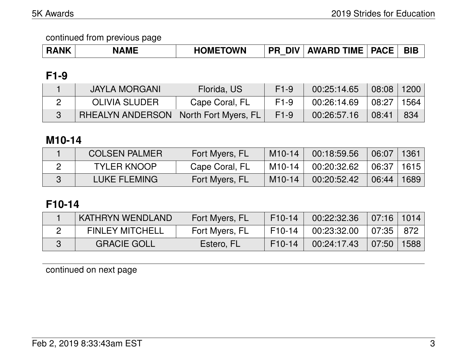# **F1-9**

| JAYLA MORGANI                                    | Florida, US    | $F1-9$ | 00:25:14.65 | 08:08               | 1200 |
|--------------------------------------------------|----------------|--------|-------------|---------------------|------|
| OLIVIA SLUDER                                    | Cape Coral, FL | $F1-9$ | 00:26:14.69 | $08:27$ $\parallel$ | 1564 |
| <b>RHEALYN ANDERSON   North Fort Myers, FL  </b> |                | $F1-9$ | 00:26:57.16 | 08:41               | 834  |

# **M10-14**

| <b>COLSEN PALMER</b> | Fort Myers, FL | $M10-14$ | 00:18:59.56 | $\setminus$ 06:07 | 1361 |
|----------------------|----------------|----------|-------------|-------------------|------|
| <b>TYLER KNOOP</b>   | Cape Coral, FL | $M10-14$ | 00:20:32.62 | 06:37   1615      |      |
| LUKE FLEMING         | Fort Myers, FL | $M10-14$ | 00:20:52.42 | 06:44             | 1689 |

# **F10-14**

| KATHRYN WENDLAND       | Fort Myers, FL | $F10-14$ | 00:22:32.36 | $\mid$ 07:16   1014 |      |
|------------------------|----------------|----------|-------------|---------------------|------|
| <b>FINLEY MITCHELL</b> | Fort Myers, FL | $F10-14$ | 00:23:32.00 | 07:35               | 872  |
| <b>GRACIE GOLL</b>     | Estero, FL     | $F10-14$ | 00:24:17.43 | $(07:50)^{17}$      | 1588 |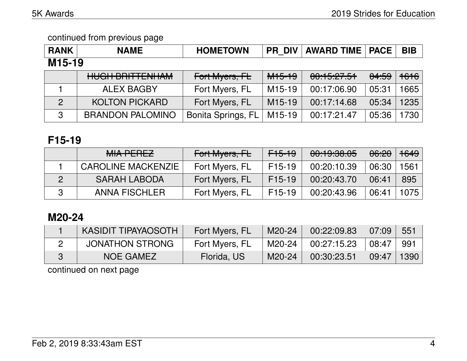| <b>RANK</b>         | <b>NAME</b>                                     | <b>HOMETOWN</b>    | <b>PR DIV</b>       | <b>AWARD TIME   PACE</b> |                  | <b>BIB</b> |  |  |  |
|---------------------|-------------------------------------------------|--------------------|---------------------|--------------------------|------------------|------------|--|--|--|
| M <sub>15</sub> -19 |                                                 |                    |                     |                          |                  |            |  |  |  |
|                     | LILIOLI DDITTENILIAM<br><b>HUUIT DINITENHAM</b> | Fort Myers, FL     | <del>M15-19</del>   | 00:15:27.51              | <del>04:59</del> | 1616       |  |  |  |
|                     | <b>ALEX BAGBY</b>                               | Fort Myers, FL     | M <sub>15</sub> -19 | 00:17:06.90              | 05:31            | 1665       |  |  |  |
| $\overline{2}$      | <b>KOLTON PICKARD</b>                           | Fort Myers, FL     | M <sub>15</sub> -19 | 00:17:14.68              | 05:34            | 1235       |  |  |  |
| 3                   | <b>BRANDON PALOMINO</b>                         | Bonita Springs, FL | M <sub>15-19</sub>  | 00:17:21.47              | 05:36            | 1730       |  |  |  |

# **F15-19**

| <b>MIA PEREZ</b>          | Fort Myers, FL | F15-19   | 00:19:38.05 | <del>06:20</del> | <del>1649</del> |
|---------------------------|----------------|----------|-------------|------------------|-----------------|
| <b>CAROLINE MACKENZIE</b> | Fort Myers, FL | $F15-19$ | 00:20:10.39 | 06:30            | 1561            |
| <b>SARAH LABODA</b>       | Fort Myers, FL | $F15-19$ | 00:20:43.70 | 06:41            | 895             |
| <b>ANNA FISCHLER</b>      | Fort Myers, FL | $F15-19$ | 00:20:43.96 | 06:41            | 1075            |

# **M20-24**

| <b>KASIDIT TIPAYAOSOTH</b> | Fort Myers, FL | M20-24 | 00:22:09.83 | 07:09 | 551  |
|----------------------------|----------------|--------|-------------|-------|------|
| <b>JONATHON STRONG</b>     | Fort Myers, FL | M20-24 | 00:27:15.23 | 08:47 | 991  |
| NOE GAMEZ                  | Florida, US    | M20-24 | 00:30:23.51 | 09:47 | 1390 |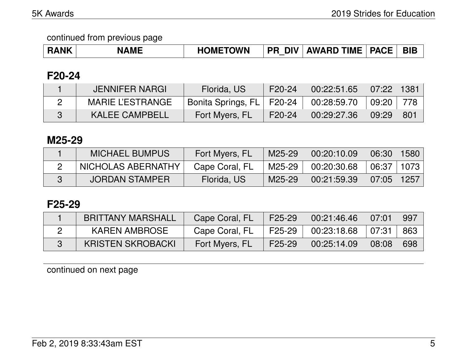| <b>RANK</b> | <b>NAME</b> | <b>HOMETOWN</b> | <b>DIV</b><br><b>PR</b> | <b>AWARD TIME  </b> | <b>PACE</b> | <b>BIB</b> |
|-------------|-------------|-----------------|-------------------------|---------------------|-------------|------------|
|-------------|-------------|-----------------|-------------------------|---------------------|-------------|------------|

### **F20-24**

| JENNIFER NARGI          | Florida, US                 | F <sub>20</sub> -24 | 00:22:51.65 | 07:22  | 1381 |
|-------------------------|-----------------------------|---------------------|-------------|--------|------|
| <b>MARIE L'ESTRANGE</b> | Bonita Springs, FL   F20-24 |                     | 00:28:59.70 | 09:20∣ | 778  |
| <b>KALEE CAMPBELL</b>   | Fort Myers, FL              | F <sub>20</sub> -24 | 00:29:27.36 | 09:29  | 801  |

### **M25-29**

| <b>MICHAEL BUMPUS</b> | Fort Myers, FL | M25-29 | 00:20:10.09 | 06:30      | 1580 |
|-----------------------|----------------|--------|-------------|------------|------|
| NICHOLAS ABERNATHY    | Cape Coral, FL | M25-29 | 00:20:30.68 | 06:37 1073 |      |
| <b>JORDAN STAMPER</b> | Florida, US    | M25-29 | 00:21:59.39 | 07:05      | 1257 |

# **F25-29**

| <b>BRITTANY MARSHALL</b> | Cape Coral, FL | F25-29 | 00:21:46.46 | 07:01 | 997 |
|--------------------------|----------------|--------|-------------|-------|-----|
| <b>KAREN AMBROSE</b>     | Cape Coral, FL | F25-29 | 00:23:18.68 | 07:31 | 863 |
| <b>KRISTEN SKROBACKI</b> | Fort Myers, FL | F25-29 | 00:25:14.09 | 08:08 | 698 |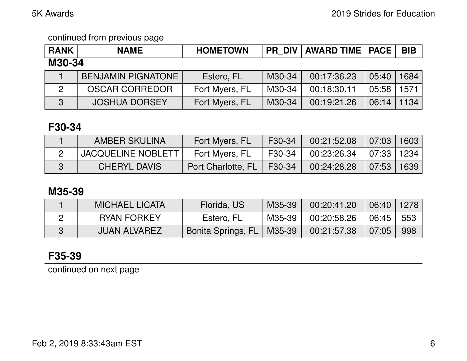| <b>RANK</b> | <b>NAME</b>               | <b>HOMETOWN</b> | <b>PR DIV</b> | <b>AWARD TIME   PACE</b> |       | <b>BIB</b> |  |  |
|-------------|---------------------------|-----------------|---------------|--------------------------|-------|------------|--|--|
| M30-34      |                           |                 |               |                          |       |            |  |  |
|             | <b>BENJAMIN PIGNATONE</b> | Estero, FL      | M30-34        | 00:17:36.23              | 05:40 | 1684       |  |  |
|             | <b>OSCAR CORREDOR</b>     | Fort Myers, FL  | M30-34        | 00:18:30.11              | 05:58 | 1571       |  |  |
| 3           | <b>JOSHUA DORSEY</b>      | Fort Myers, FL  | M30-34        | 00:19:21.26              | 06:14 | 1134       |  |  |

## **F30-34**

| AMBER SKULINA             | Fort Myers, FL              | F30-34 | 00:21:52.08                  | 07:03 1603 |  |
|---------------------------|-----------------------------|--------|------------------------------|------------|--|
| <b>JACQUELINE NOBLETT</b> | Fort Myers, FL              | F30-34 | $00:23:26.34$   07:33   1234 |            |  |
| <b>CHERYL DAVIS</b>       | Port Charlotte, FL   F30-34 |        | 00:24:28.28                  | 07:53 1639 |  |

# **M35-39**

| MICHAEL LICATA      | Florida, US                   | M35-39   | 00:20:41.20         | 06:40   1278  |     |
|---------------------|-------------------------------|----------|---------------------|---------------|-----|
| <b>RYAN FORKEY</b>  | Estero, FL                    | M35-39 I | $00:20:58.26$ 06:45 |               | 553 |
| <b>JUAN ALVAREZ</b> | Bonita Springs, FL   M35-39 \ |          | 00:21:57.38         | $\vert$ 07:05 | 998 |

# **F35-39**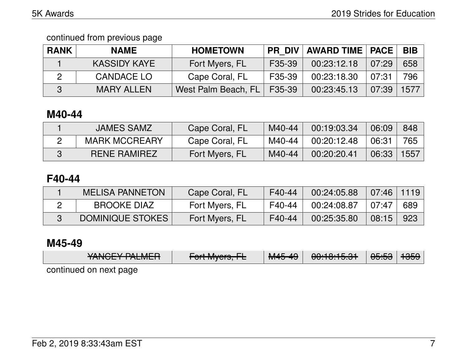continued from previous page

| <b>RANK</b> | <b>NAME</b>         | <b>HOMETOWN</b>     | <b>PR DIV</b>       | <b>AWARD TIME   PACE</b> |       | <b>BIB</b> |
|-------------|---------------------|---------------------|---------------------|--------------------------|-------|------------|
|             | <b>KASSIDY KAYE</b> | Fort Myers, FL      | F <sub>35</sub> -39 | 00:23:12.18              | 07:29 | 658        |
|             | CANDACE LO          | Cape Coral, FL      | F <sub>35</sub> -39 | 00:23:18.30              | 07:31 | 796        |
|             | <b>MARY ALLEN</b>   | West Palm Beach, FL | F35-39              | 00:23:45.13              | 07:39 | 1577       |

# **M40-44**

| <b>JAMES SAMZ</b>    | Cape Coral, FL | M40-44 | 00:19:03.34 | 06:09 | 848  |
|----------------------|----------------|--------|-------------|-------|------|
| <b>MARK MCCREARY</b> | Cape Coral, FL | M40-44 | 00:20:12.48 | 06:31 | 765  |
| <b>RENE RAMIREZ</b>  | Fort Myers, FL | M40-44 | 00:20:20.41 | 06:33 | 1557 |

# **F40-44**

| <b>MELISA PANNETON</b> | Cape Coral, FL | F40-44 | 00:24:05.88 | $\mid 07:46 \mid 1119 \mid$ |     |
|------------------------|----------------|--------|-------------|-----------------------------|-----|
| <b>BROOKE DIAZ</b>     | Fort Myers, FL | F40-44 | 00:24:08.87 | $+07:47$                    | 689 |
| DOMINIQUE STOKES       | Fort Myers, FL | F40-44 | 00:25:35.80 | 08:15                       | 923 |

# **M45-49**

|                        | VANCEV DALMED | $\Gamma$           | $MAE$ $AO$            | 0.10.15              | $\Delta$ $\Gamma$ . $\Gamma$ $\Delta$ | 10EQ |  |  |
|------------------------|---------------|--------------------|-----------------------|----------------------|---------------------------------------|------|--|--|
|                        | TANUL TALMLIT | $T$ UILIVIYUIS, IE | T <del>VITJ 4</del> 7 | <del>uu.iu.iuu</del> | ᠊ᡂ.ᡂ                                  | ਾਹਰਤ |  |  |
| continued on next nane |               |                    |                       |                      |                                       |      |  |  |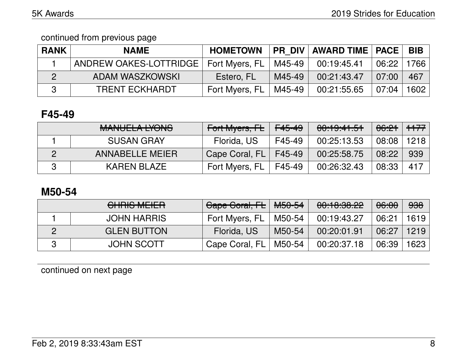| <b>RANK</b> | <b>NAME</b>                             | <b>HOMETOWN</b> |        | PR_DIV   AWARD TIME   PACE |        | <b>BIB</b> |
|-------------|-----------------------------------------|-----------------|--------|----------------------------|--------|------------|
|             | ANDREW OAKES-LOTTRIDGE   Fort Myers, FL |                 | M45-49 | 00:19:45.41                | 06:22  | 1766       |
|             | ADAM WASZKOWSKI                         | Estero, FL      | M45-49 | 00:21:43.47                | 07:00  | 467        |
|             | <b>TRENT ECKHARDT</b>                   | Fort Myers, FL  | M45-49 | 00:21:55.65                | 107:04 | 1602       |

# **F45-49**

| MANILIEL A IVANIO<br><b>MANULLA LIUNU</b> | Fort Myers, FL | <del>F45-49</del> | 00:19:41.51 | 06:21 | $++77$ |
|-------------------------------------------|----------------|-------------------|-------------|-------|--------|
| <b>SUSAN GRAY</b>                         | Florida, US    | F45-49            | 00:25:13.53 | 08:08 | 1218   |
| <b>ANNABELLE MEIER</b>                    | Cape Coral, FL | F45-49            | 00:25:58.75 | 08:22 | 939    |
| <b>KAREN BLAZE</b>                        | Fort Myers, FL | F45-49            | 00:26:32.43 | 08:33 | 417    |

# **M50-54**

|   | $\bigcap_{i=1}^n$<br><u>UTILIO METELI</u> | Cape Coral, FL | <del>M50-54</del> | 00:10:30.22 | 06:00 | 938  |
|---|-------------------------------------------|----------------|-------------------|-------------|-------|------|
|   | <b>JOHN HARRIS</b>                        | Fort Myers, FL | M50-54            | 00:19:43.27 | 06:21 | 1619 |
|   | <b>GLEN BUTTON</b>                        | Florida, US    | M50-54            | 00:20:01.91 | 06:27 | 1219 |
| ? | <b>JOHN SCOTT</b>                         | Cape Coral, FL | M50-54            | 00:20:37.18 | 06:39 | 1623 |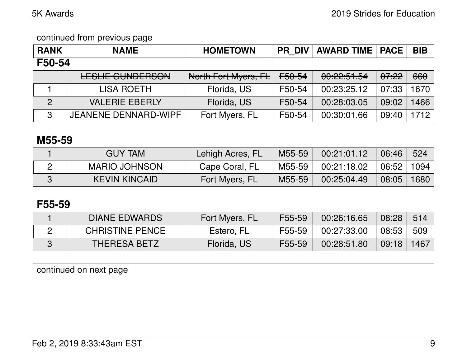| <b>RANK</b> | <b>NAME</b>                                             | <b>HOMETOWN</b>      | <b>PR DIV</b> | <b>AWARD TIME</b>              | <b>PACE</b> | <b>BIB</b> |
|-------------|---------------------------------------------------------|----------------------|---------------|--------------------------------|-------------|------------|
| F50-54      |                                                         |                      |               |                                |             |            |
|             | <u>I FOLIE ALINIDEDOAN</u><br><b>LLJLIL UUINDLITJUN</b> | North Fort Myers, FL | F50-54        | 0.00.01<br><b>UU. 44.01.04</b> | 07:22       | 660        |
|             | <b>LISA ROETH</b>                                       | Florida, US          | F50-54        | 00:23:25.12                    | 07:33       | 1670       |
| 2           | <b>VALERIE EBERLY</b>                                   | Florida, US          | F50-54        | 00:28:03.05                    | 09:02       | 1466       |
| 3           | <b>JEANENE DENNARD-WIPF</b>                             | Fort Myers, FL       | F50-54        | 00:30:01.66                    | 09:40       | 1712       |

### **M55-59**

| <b>GUY TAM</b>       | Lehigh Acres, FL | M55-59 | 00:21:01.12 | 06:46 | 524  |
|----------------------|------------------|--------|-------------|-------|------|
| <b>MARIO JOHNSON</b> | Cape Coral, FL   | M55-59 | 00:21:18.02 | 06:52 | 1094 |
| <b>KEVIN KINCAID</b> | Fort Myers, FL   | M55-59 | 00:25:04.49 | 08:05 | 1680 |

# **F55-59**

| <b>DIANE EDWARDS</b>   | Fort Myers, FL | F55-59 | 00:26:16.65 | 08:28 | 514  |
|------------------------|----------------|--------|-------------|-------|------|
| <b>CHRISTINE PENCE</b> | Estero, FL     | F55-59 | 00:27:33.00 | 08:53 | 509  |
| <b>THERESA BETZ</b>    | Florida, US    | F55-59 | 00:28:51.80 | 09:18 | 1467 |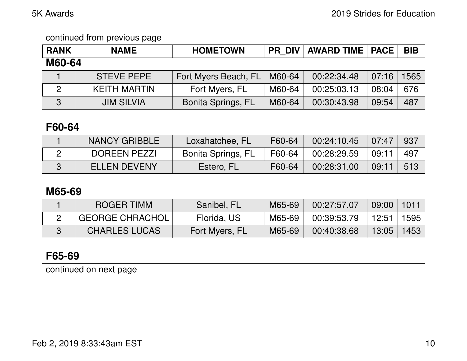| <b>RANK</b>   | <b>NAME</b>         | <b>HOMETOWN</b>           | <b>PR DIV</b> | <b>AWARD TIME   PACE</b> |       | <b>BIB</b> |
|---------------|---------------------|---------------------------|---------------|--------------------------|-------|------------|
| <b>M60-64</b> |                     |                           |               |                          |       |            |
|               | <b>STEVE PEPE</b>   | Fort Myers Beach, FL      | M60-64        | 00:22:34.48              | 07:16 | 1565       |
| 2             | <b>KEITH MARTIN</b> | Fort Myers, FL            | M60-64        | 00:25:03.13              | 08:04 | 676        |
| 3             | <b>JIM SILVIA</b>   | <b>Bonita Springs, FL</b> | M60-64        | 00:30:43.98              | 09:54 | 487        |

## **F60-64**

| <b>NANCY GRIBBLE</b> | Loxahatchee, FL    | F60-64 | 00:24:10.45 | 07:47 | 937  |
|----------------------|--------------------|--------|-------------|-------|------|
| DOREEN PEZZI         | Bonita Springs, FL | F60-64 | 00:28:29.59 | 09:11 | -497 |
| <b>ELLEN DEVENY</b>  | Estero, FL         | F60-64 | 00:28:31.00 | 09:11 | 513  |

# **M65-69**

| ROGER TIMM             | Sanibel, FL    | M65-69 | 00:27:57.07 | $\mid$ 09:00 $\mid$ 1011 $\mid$ |      |
|------------------------|----------------|--------|-------------|---------------------------------|------|
| <b>GEORGE CHRACHOL</b> | Florida, US    | M65-69 | 00:39:53.79 | │ 12:51 │ 1595 │                |      |
| <b>CHARLES LUCAS</b>   | Fort Myers, FL | M65-69 | 00:40:38.68 | 13:05                           | 1453 |

# **F65-69**